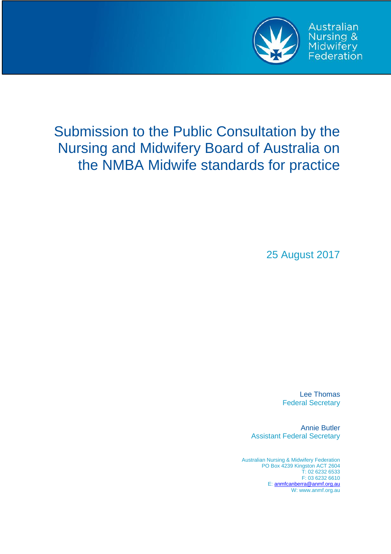

**Australian** Nursing & Midwifery<br>Federation

# Submission to the Public Consultation by the Nursing and Midwifery Board of Australia on the NMBA Midwife standards for practice

25 August 2017

Lee Thomas Federal Secretary

Annie Butler Assistant Federal Secretary

Australian Nursing & Midwifery Federation PO Box 4239 Kingston ACT 2604 T: 02 6232 6533 F: 03 6232 6610 E[: anmfcanberra@anmf.org.au](mailto:anmfcanberra@anmf.org.au) W: www.anmf.org.au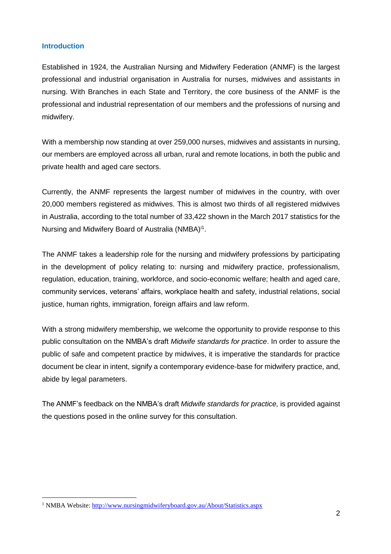#### **Introduction**

 $\overline{a}$ 

Established in 1924, the Australian Nursing and Midwifery Federation (ANMF) is the largest professional and industrial organisation in Australia for nurses, midwives and assistants in nursing. With Branches in each State and Territory, the core business of the ANMF is the professional and industrial representation of our members and the professions of nursing and midwifery.

With a membership now standing at over 259,000 nurses, midwives and assistants in nursing, our members are employed across all urban, rural and remote locations, in both the public and private health and aged care sectors.

Currently, the ANMF represents the largest number of midwives in the country, with over 20,000 members registered as midwives. This is almost two thirds of all registered midwives in Australia, according to the total number of 33,422 shown in the March 2017 statistics for the Nursing and Midwifery Board of Australia (NMBA)<sup>i1</sup>.

The ANMF takes a leadership role for the nursing and midwifery professions by participating in the development of policy relating to: nursing and midwifery practice, professionalism, regulation, education, training, workforce, and socio-economic welfare; health and aged care, community services, veterans' affairs, workplace health and safety, industrial relations, social justice, human rights, immigration, foreign affairs and law reform.

With a strong midwifery membership, we welcome the opportunity to provide response to this public consultation on the NMBA's draft *Midwife standards for practice*. In order to assure the public of safe and competent practice by midwives, it is imperative the standards for practice document be clear in intent, signify a contemporary evidence-base for midwifery practice, and, abide by legal parameters.

The ANMF's feedback on the NMBA's draft *Midwife standards for practice,* is provided against the questions posed in the online survey for this consultation.

<sup>&</sup>lt;sup>1</sup> NMBA Website:<http://www.nursingmidwiferyboard.gov.au/About/Statistics.aspx>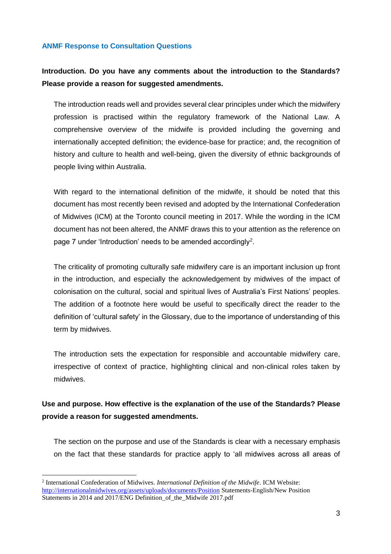#### **ANMF Response to Consultation Questions**

## **Introduction. Do you have any comments about the introduction to the Standards? Please provide a reason for suggested amendments.**

The introduction reads well and provides several clear principles under which the midwifery profession is practised within the regulatory framework of the National Law. A comprehensive overview of the midwife is provided including the governing and internationally accepted definition; the evidence-base for practice; and, the recognition of history and culture to health and well-being, given the diversity of ethnic backgrounds of people living within Australia.

With regard to the international definition of the midwife, it should be noted that this document has most recently been revised and adopted by the International Confederation of Midwives (ICM) at the Toronto council meeting in 2017. While the wording in the ICM document has not been altered, the ANMF draws this to your attention as the reference on page 7 under 'Introduction' needs to be amended accordingly<sup>2</sup>.

The criticality of promoting culturally safe midwifery care is an important inclusion up front in the introduction, and especially the acknowledgement by midwives of the impact of colonisation on the cultural, social and spiritual lives of Australia's First Nations' peoples. The addition of a footnote here would be useful to specifically direct the reader to the definition of 'cultural safety' in the Glossary, due to the importance of understanding of this term by midwives.

The introduction sets the expectation for responsible and accountable midwifery care, irrespective of context of practice, highlighting clinical and non-clinical roles taken by midwives.

## **Use and purpose. How effective is the explanation of the use of the Standards? Please provide a reason for suggested amendments.**

The section on the purpose and use of the Standards is clear with a necessary emphasis on the fact that these standards for practice apply to 'all midwives across all areas of

 $\overline{a}$ 

<sup>2</sup> International Confederation of Midwives. *International Definition of the Midwife*. ICM Website: <http://internationalmidwives.org/assets/uploads/documents/Position> Statements-English/New Position Statements in 2014 and 2017/ENG Definition\_of\_the\_Midwife 2017.pdf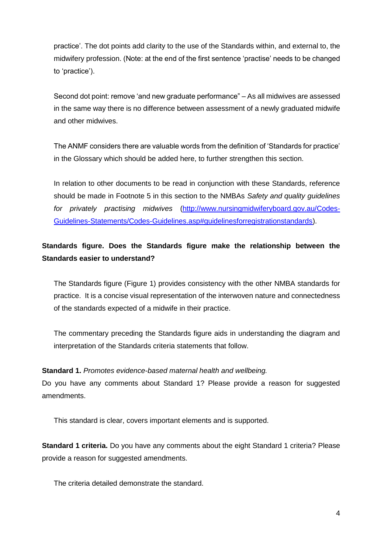practice'. The dot points add clarity to the use of the Standards within, and external to, the midwifery profession. (Note: at the end of the first sentence 'practise' needs to be changed to 'practice').

Second dot point: remove 'and new graduate performance" – As all midwives are assessed in the same way there is no difference between assessment of a newly graduated midwife and other midwives.

The ANMF considers there are valuable words from the definition of 'Standards for practice' in the Glossary which should be added here, to further strengthen this section.

In relation to other documents to be read in conjunction with these Standards, reference should be made in Footnote 5 in this section to the NMBAs *Safety and quality guidelines for privately practising midwives* [\(http://www.nursingmidwiferyboard.gov.au/Codes-](http://www.nursingmidwiferyboard.gov.au/Codes-Guidelines-Statements/Codes-Guidelines.asp#guidelinesforregistrationstandards)[Guidelines-Statements/Codes-Guidelines.asp#guidelinesforregistrationstandards\)](http://www.nursingmidwiferyboard.gov.au/Codes-Guidelines-Statements/Codes-Guidelines.asp#guidelinesforregistrationstandards).

# **Standards figure. Does the Standards figure make the relationship between the Standards easier to understand?**

The Standards figure (Figure 1) provides consistency with the other NMBA standards for practice. It is a concise visual representation of the interwoven nature and connectedness of the standards expected of a midwife in their practice.

The commentary preceding the Standards figure aids in understanding the diagram and interpretation of the Standards criteria statements that follow.

## **Standard 1.** *Promotes evidence-based maternal health and wellbeing.*

Do you have any comments about Standard 1? Please provide a reason for suggested amendments.

This standard is clear, covers important elements and is supported.

**Standard 1 criteria.** Do you have any comments about the eight Standard 1 criteria? Please provide a reason for suggested amendments.

The criteria detailed demonstrate the standard.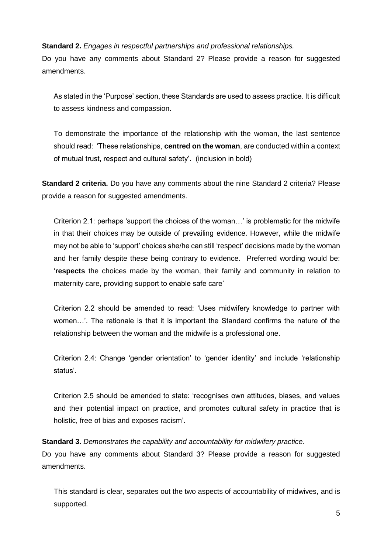#### **Standard 2.** *Engages in respectful partnerships and professional relationships.*

Do you have any comments about Standard 2? Please provide a reason for suggested amendments.

As stated in the 'Purpose' section, these Standards are used to assess practice. It is difficult to assess kindness and compassion.

To demonstrate the importance of the relationship with the woman, the last sentence should read: 'These relationships, **centred on the woman**, are conducted within a context of mutual trust, respect and cultural safety'. (inclusion in bold)

**Standard 2 criteria.** Do you have any comments about the nine Standard 2 criteria? Please provide a reason for suggested amendments.

Criterion 2.1: perhaps 'support the choices of the woman…' is problematic for the midwife in that their choices may be outside of prevailing evidence. However, while the midwife may not be able to 'support' choices she/he can still 'respect' decisions made by the woman and her family despite these being contrary to evidence. Preferred wording would be: '**respects** the choices made by the woman, their family and community in relation to maternity care, providing support to enable safe care'

Criterion 2.2 should be amended to read: 'Uses midwifery knowledge to partner with women…'. The rationale is that it is important the Standard confirms the nature of the relationship between the woman and the midwife is a professional one.

Criterion 2.4: Change 'gender orientation' to 'gender identity' and include 'relationship status'.

Criterion 2.5 should be amended to state: 'recognises own attitudes, biases, and values and their potential impact on practice, and promotes cultural safety in practice that is holistic, free of bias and exposes racism'.

**Standard 3.** *Demonstrates the capability and accountability for midwifery practice.* Do you have any comments about Standard 3? Please provide a reason for suggested amendments.

This standard is clear, separates out the two aspects of accountability of midwives, and is supported.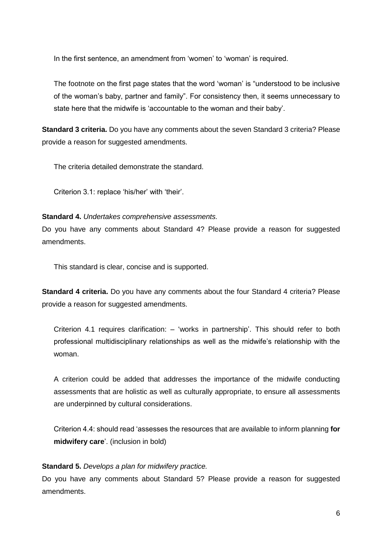In the first sentence, an amendment from 'women' to 'woman' is required.

The footnote on the first page states that the word 'woman' is "understood to be inclusive of the woman's baby, partner and family". For consistency then, it seems unnecessary to state here that the midwife is 'accountable to the woman and their baby'.

**Standard 3 criteria.** Do you have any comments about the seven Standard 3 criteria? Please provide a reason for suggested amendments.

The criteria detailed demonstrate the standard.

Criterion 3.1: replace 'his/her' with 'their'.

#### **Standard 4.** *Undertakes comprehensive assessments.*

Do you have any comments about Standard 4? Please provide a reason for suggested amendments.

This standard is clear, concise and is supported.

**Standard 4 criteria.** Do you have any comments about the four Standard 4 criteria? Please provide a reason for suggested amendments.

Criterion 4.1 requires clarification: – 'works in partnership'. This should refer to both professional multidisciplinary relationships as well as the midwife's relationship with the woman.

A criterion could be added that addresses the importance of the midwife conducting assessments that are holistic as well as culturally appropriate, to ensure all assessments are underpinned by cultural considerations.

Criterion 4.4: should read 'assesses the resources that are available to inform planning **for midwifery care**'. (inclusion in bold)

#### **Standard 5.** *Develops a plan for midwifery practice.*

Do you have any comments about Standard 5? Please provide a reason for suggested amendments.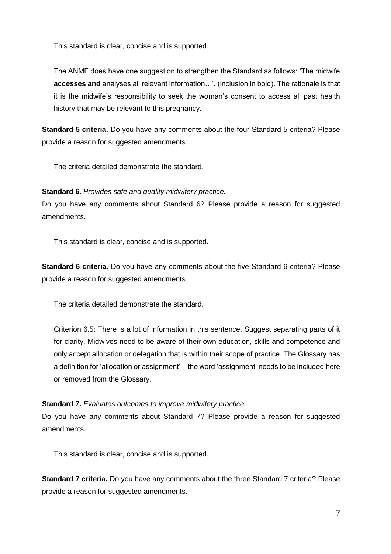This standard is clear, concise and is supported.

The ANMF does have one suggestion to strengthen the Standard as follows: 'The midwife **accesses and** analyses all relevant information…'. (inclusion in bold). The rationale is that it is the midwife's responsibility to seek the woman's consent to access all past health history that may be relevant to this pregnancy.

**Standard 5 criteria.** Do you have any comments about the four Standard 5 criteria? Please provide a reason for suggested amendments.

The criteria detailed demonstrate the standard.

### **Standard 6.** *Provides safe and quality midwifery practice.*

Do you have any comments about Standard 6? Please provide a reason for suggested amendments.

This standard is clear, concise and is supported.

**Standard 6 criteria.** Do you have any comments about the five Standard 6 criteria? Please provide a reason for suggested amendments.

The criteria detailed demonstrate the standard.

Criterion 6.5: There is a lot of information in this sentence. Suggest separating parts of it for clarity. Midwives need to be aware of their own education, skills and competence and only accept allocation or delegation that is within their scope of practice. The Glossary has a definition for 'allocation or assignment' – the word 'assignment' needs to be included here or removed from the Glossary.

#### **Standard 7.** *Evaluates outcomes to improve midwifery practice.*

Do you have any comments about Standard 7? Please provide a reason for suggested amendments.

This standard is clear, concise and is supported.

**Standard 7 criteria.** Do you have any comments about the three Standard 7 criteria? Please provide a reason for suggested amendments.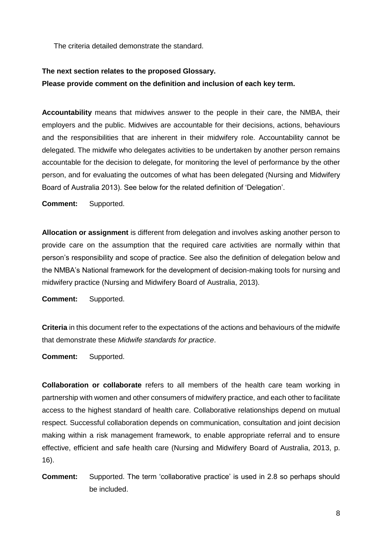The criteria detailed demonstrate the standard.

# **The next section relates to the proposed Glossary. Please provide comment on the definition and inclusion of each key term.**

**Accountability** means that midwives answer to the people in their care, the NMBA, their employers and the public. Midwives are accountable for their decisions, actions, behaviours and the responsibilities that are inherent in their midwifery role. Accountability cannot be delegated. The midwife who delegates activities to be undertaken by another person remains accountable for the decision to delegate, for monitoring the level of performance by the other person, and for evaluating the outcomes of what has been delegated (Nursing and Midwifery Board of Australia 2013). See below for the related definition of 'Delegation'.

**Comment:** Supported.

**Allocation or assignment** is different from delegation and involves asking another person to provide care on the assumption that the required care activities are normally within that person's responsibility and scope of practice. See also the definition of delegation below and the NMBA's National framework for the development of decision-making tools for nursing and midwifery practice (Nursing and Midwifery Board of Australia, 2013).

**Comment:** Supported.

**Criteria** in this document refer to the expectations of the actions and behaviours of the midwife that demonstrate these *Midwife standards for practice*.

**Comment:** Supported.

**Collaboration or collaborate** refers to all members of the health care team working in partnership with women and other consumers of midwifery practice, and each other to facilitate access to the highest standard of health care. Collaborative relationships depend on mutual respect. Successful collaboration depends on communication, consultation and joint decision making within a risk management framework, to enable appropriate referral and to ensure effective, efficient and safe health care (Nursing and Midwifery Board of Australia, 2013, p. 16).

**Comment:** Supported. The term 'collaborative practice' is used in 2.8 so perhaps should be included.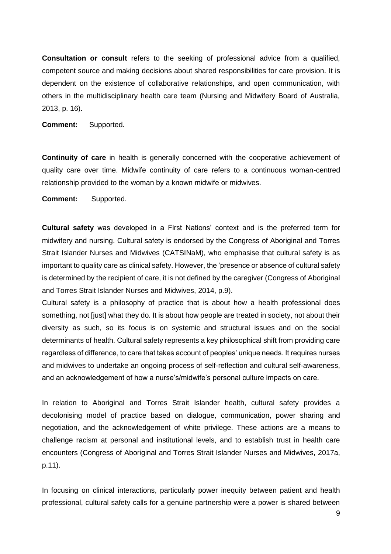**Consultation or consult** refers to the seeking of professional advice from a qualified, competent source and making decisions about shared responsibilities for care provision. It is dependent on the existence of collaborative relationships, and open communication, with others in the multidisciplinary health care team (Nursing and Midwifery Board of Australia, 2013, p. 16).

**Comment:** Supported.

**Continuity of care** in health is generally concerned with the cooperative achievement of quality care over time. Midwife continuity of care refers to a continuous woman-centred relationship provided to the woman by a known midwife or midwives.

**Comment:** Supported.

**Cultural safety** was developed in a First Nations' context and is the preferred term for midwifery and nursing. Cultural safety is endorsed by the Congress of Aboriginal and Torres Strait Islander Nurses and Midwives (CATSINaM), who emphasise that cultural safety is as important to quality care as clinical safety. However, the 'presence or absence of cultural safety is determined by the recipient of care, it is not defined by the caregiver (Congress of Aboriginal and Torres Strait Islander Nurses and Midwives, 2014, p.9).

Cultural safety is a philosophy of practice that is about how a health professional does something, not [just] what they do. It is about how people are treated in society, not about their diversity as such, so its focus is on systemic and structural issues and on the social determinants of health. Cultural safety represents a key philosophical shift from providing care regardless of difference, to care that takes account of peoples' unique needs. It requires nurses and midwives to undertake an ongoing process of self-reflection and cultural self-awareness, and an acknowledgement of how a nurse's/midwife's personal culture impacts on care.

In relation to Aboriginal and Torres Strait Islander health, cultural safety provides a decolonising model of practice based on dialogue, communication, power sharing and negotiation, and the acknowledgement of white privilege. These actions are a means to challenge racism at personal and institutional levels, and to establish trust in health care encounters (Congress of Aboriginal and Torres Strait Islander Nurses and Midwives, 2017a, p.11).

In focusing on clinical interactions, particularly power inequity between patient and health professional, cultural safety calls for a genuine partnership were a power is shared between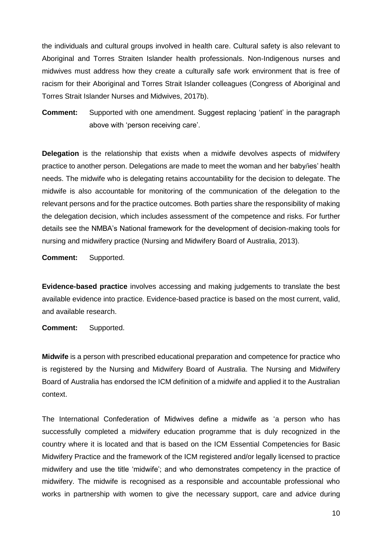the individuals and cultural groups involved in health care. Cultural safety is also relevant to Aboriginal and Torres Straiten Islander health professionals. Non-Indigenous nurses and midwives must address how they create a culturally safe work environment that is free of racism for their Aboriginal and Torres Strait Islander colleagues (Congress of Aboriginal and Torres Strait Islander Nurses and Midwives, 2017b).

**Comment:** Supported with one amendment. Suggest replacing 'patient' in the paragraph above with 'person receiving care'.

**Delegation** is the relationship that exists when a midwife devolves aspects of midwifery practice to another person. Delegations are made to meet the woman and her baby/ies' health needs. The midwife who is delegating retains accountability for the decision to delegate. The midwife is also accountable for monitoring of the communication of the delegation to the relevant persons and for the practice outcomes. Both parties share the responsibility of making the delegation decision, which includes assessment of the competence and risks. For further details see the NMBA's National framework for the development of decision-making tools for nursing and midwifery practice (Nursing and Midwifery Board of Australia, 2013).

**Comment:** Supported.

**Evidence-based practice** involves accessing and making judgements to translate the best available evidence into practice. Evidence-based practice is based on the most current, valid, and available research.

**Comment:** Supported.

**Midwife** is a person with prescribed educational preparation and competence for practice who is registered by the Nursing and Midwifery Board of Australia. The Nursing and Midwifery Board of Australia has endorsed the ICM definition of a midwife and applied it to the Australian context.

The International Confederation of Midwives define a midwife as 'a person who has successfully completed a midwifery education programme that is duly recognized in the country where it is located and that is based on the ICM Essential Competencies for Basic Midwifery Practice and the framework of the ICM registered and/or legally licensed to practice midwifery and use the title 'midwife'; and who demonstrates competency in the practice of midwifery. The midwife is recognised as a responsible and accountable professional who works in partnership with women to give the necessary support, care and advice during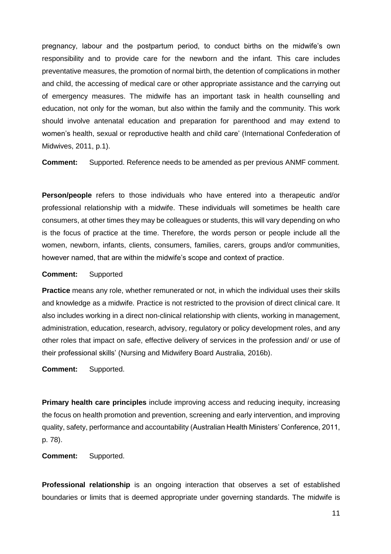pregnancy, labour and the postpartum period, to conduct births on the midwife's own responsibility and to provide care for the newborn and the infant. This care includes preventative measures, the promotion of normal birth, the detention of complications in mother and child, the accessing of medical care or other appropriate assistance and the carrying out of emergency measures. The midwife has an important task in health counselling and education, not only for the woman, but also within the family and the community. This work should involve antenatal education and preparation for parenthood and may extend to women's health, sexual or reproductive health and child care' (International Confederation of Midwives, 2011, p.1).

**Comment:** Supported. Reference needs to be amended as per previous ANMF comment.

**Person/people** refers to those individuals who have entered into a therapeutic and/or professional relationship with a midwife. These individuals will sometimes be health care consumers, at other times they may be colleagues or students, this will vary depending on who is the focus of practice at the time. Therefore, the words person or people include all the women, newborn, infants, clients, consumers, families, carers, groups and/or communities, however named, that are within the midwife's scope and context of practice.

#### **Comment:** Supported

**Practice** means any role, whether remunerated or not, in which the individual uses their skills and knowledge as a midwife. Practice is not restricted to the provision of direct clinical care. It also includes working in a direct non-clinical relationship with clients, working in management, administration, education, research, advisory, regulatory or policy development roles, and any other roles that impact on safe, effective delivery of services in the profession and/ or use of their professional skills' (Nursing and Midwifery Board Australia, 2016b).

**Comment:** Supported.

**Primary health care principles** include improving access and reducing inequity, increasing the focus on health promotion and prevention, screening and early intervention, and improving quality, safety, performance and accountability (Australian Health Ministers' Conference, 2011, p. 78).

**Comment:** Supported.

**Professional relationship** is an ongoing interaction that observes a set of established boundaries or limits that is deemed appropriate under governing standards. The midwife is

11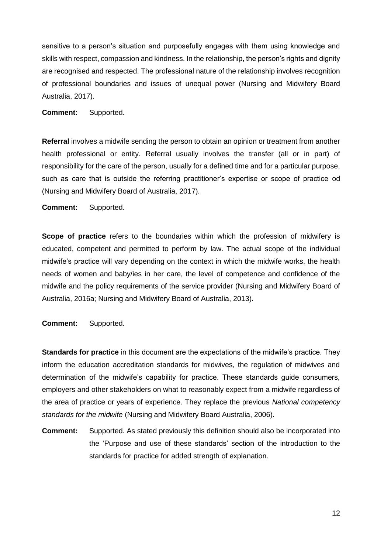sensitive to a person's situation and purposefully engages with them using knowledge and skills with respect, compassion and kindness. In the relationship, the person's rights and dignity are recognised and respected. The professional nature of the relationship involves recognition of professional boundaries and issues of unequal power (Nursing and Midwifery Board Australia, 2017).

**Comment:** Supported.

**Referral** involves a midwife sending the person to obtain an opinion or treatment from another health professional or entity. Referral usually involves the transfer (all or in part) of responsibility for the care of the person, usually for a defined time and for a particular purpose, such as care that is outside the referring practitioner's expertise or scope of practice od (Nursing and Midwifery Board of Australia, 2017).

**Comment:** Supported.

**Scope of practice** refers to the boundaries within which the profession of midwifery is educated, competent and permitted to perform by law. The actual scope of the individual midwife's practice will vary depending on the context in which the midwife works, the health needs of women and baby/ies in her care, the level of competence and confidence of the midwife and the policy requirements of the service provider (Nursing and Midwifery Board of Australia, 2016a; Nursing and Midwifery Board of Australia, 2013).

**Comment:** Supported.

**Standards for practice** in this document are the expectations of the midwife's practice. They inform the education accreditation standards for midwives, the regulation of midwives and determination of the midwife's capability for practice. These standards guide consumers, employers and other stakeholders on what to reasonably expect from a midwife regardless of the area of practice or years of experience. They replace the previous *National competency standards for the midwife* (Nursing and Midwifery Board Australia, 2006).

**Comment:** Supported. As stated previously this definition should also be incorporated into the 'Purpose and use of these standards' section of the introduction to the standards for practice for added strength of explanation.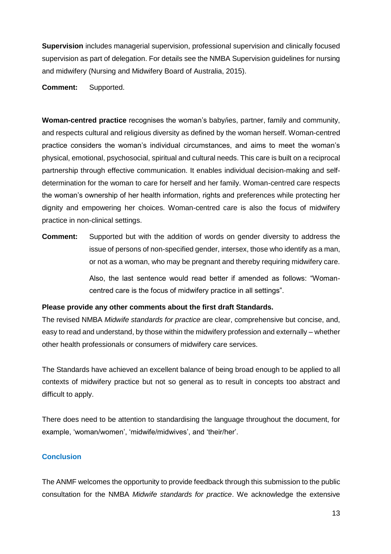**Supervision** includes managerial supervision, professional supervision and clinically focused supervision as part of delegation. For details see the NMBA Supervision guidelines for nursing and midwifery (Nursing and Midwifery Board of Australia, 2015).

**Comment:** Supported.

**Woman-centred practice** recognises the woman's baby/ies, partner, family and community, and respects cultural and religious diversity as defined by the woman herself. Woman-centred practice considers the woman's individual circumstances, and aims to meet the woman's physical, emotional, psychosocial, spiritual and cultural needs. This care is built on a reciprocal partnership through effective communication. It enables individual decision-making and selfdetermination for the woman to care for herself and her family. Woman-centred care respects the woman's ownership of her health information, rights and preferences while protecting her dignity and empowering her choices. Woman-centred care is also the focus of midwifery practice in non-clinical settings.

**Comment:** Supported but with the addition of words on gender diversity to address the issue of persons of non-specified gender, intersex, those who identify as a man, or not as a woman, who may be pregnant and thereby requiring midwifery care. Also, the last sentence would read better if amended as follows: "Womancentred care is the focus of midwifery practice in all settings".

#### **Please provide any other comments about the first draft Standards.**

The revised NMBA *Midwife standards for practice* are clear, comprehensive but concise, and, easy to read and understand, by those within the midwifery profession and externally – whether other health professionals or consumers of midwifery care services.

The Standards have achieved an excellent balance of being broad enough to be applied to all contexts of midwifery practice but not so general as to result in concepts too abstract and difficult to apply.

There does need to be attention to standardising the language throughout the document, for example, 'woman/women', 'midwife/midwives', and 'their/her'.

## **Conclusion**

The ANMF welcomes the opportunity to provide feedback through this submission to the public consultation for the NMBA *Midwife standards for practice*. We acknowledge the extensive